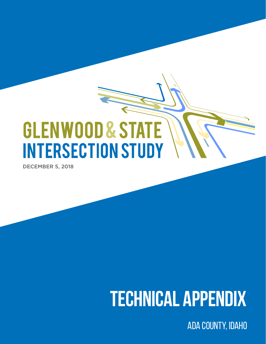## **GLENWOOD & STATE INTERSECTION STUDY**

DECEMBER 5, 2018

## **TECHNICAL APPENDIX**

Ada County, Idaho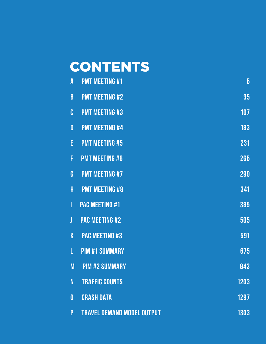## CONTENTS

| A        | <b>PMT MEETING #1</b>             | $\overline{5}$ |
|----------|-----------------------------------|----------------|
| B        | <b>PMT MEETING #2</b>             | 35             |
| C        | <b>PMT MEETING #3</b>             | 107            |
| D        | <b>PMT MEETING #4</b>             | 183            |
| E        | <b>PMT MEETING #5</b>             | 231            |
| F        | <b>PMT MEETING #6</b>             | 265            |
| G        | <b>PMT MEETING #7</b>             | 299            |
| H        | <b>PMT MEETING #8</b>             | 341            |
| I        | <b>PAC MEETING #1</b>             | 385            |
| J        | <b>PAC MEETING #2</b>             | 505            |
| K        | <b>PAC MEETING #3</b>             | 591            |
| L        | <b>PIM #1 SUMMARY</b>             | 675            |
| M        | <b>PIM #2 SUMMARY</b>             | 843            |
| N        | <b>TRAFFIC COUNTS</b>             | 1203           |
| $\bf{0}$ | <b>CRASH DATA</b>                 | 1297           |
| P        | <b>TRAVEL DEMAND MODEL OUTPUT</b> | 1303           |